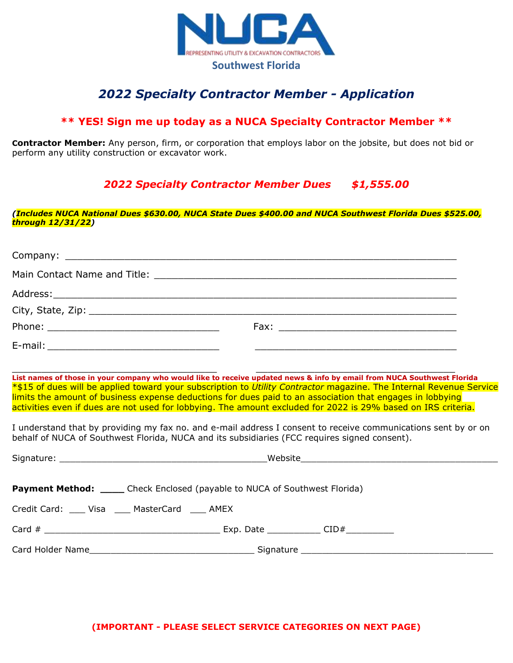

## *2022 Specialty Contractor Member - Application*

## **\*\* YES! Sign me up today as a NUCA Specialty Contractor Member \*\***

**Contractor Member:** Any person, firm, or corporation that employs labor on the jobsite, but does not bid or perform any utility construction or excavator work.

*2022 Specialty Contractor Member Dues \$1,555.00*

*(Includes NUCA National Dues \$630.00, NUCA State Dues \$400.00 and NUCA Southwest Florida Dues \$525.00, through 12/31/22)*

 $\_$  , and the contribution of the contribution of  $\_$  , and  $\_$  , and  $\_$  , and  $\_$  ,  $\_$  ,  $\_$  ,  $\_$  ,  $\_$  ,  $\_$  ,  $\_$  ,  $\_$  ,  $\_$  ,  $\_$  ,  $\_$  ,  $\_$  ,  $\_$  ,  $\_$  ,  $\_$  ,  $\_$  ,  $\_$  ,  $\_$  ,  $\_$  ,  $\_$  ,  $\_$  ,  $\_$  ,  $\_$  ,  $\_$ **List names of those in your company who would like to receive updated news & info by email from NUCA Southwest Florida** \*\$15 of dues will be applied toward your subscription to *Utility Contractor* magazine. The Internal Revenue Service limits the amount of business expense deductions for dues paid to an association that engages in lobbying activities even if dues are not used for lobbying. The amount excluded for 2022 is 29% based on IRS criteria.

I understand that by providing my fax no. and e-mail address I consent to receive communications sent by or on behalf of NUCA of Southwest Florida, NUCA and its subsidiaries (FCC requires signed consent).

| <b>Payment Method:</b> ______ Check Enclosed (payable to NUCA of Southwest Florida)                                                                                                                                                |  |
|------------------------------------------------------------------------------------------------------------------------------------------------------------------------------------------------------------------------------------|--|
| Credit Card: ____ Visa ____ MasterCard ____ AMEX                                                                                                                                                                                   |  |
|                                                                                                                                                                                                                                    |  |
| Card Holder Name <b>Card Holder Name Card Holder Name Account Card Holder Name Account Card Holder Name Account Card Account Card Account Card Account Card Account Card Account Card Account Card Account Card Account Card A</b> |  |

**(IMPORTANT - PLEASE SELECT SERVICE CATEGORIES ON NEXT PAGE)**